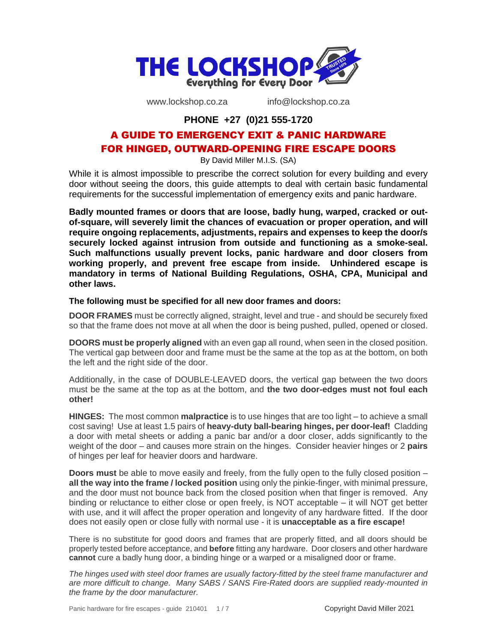

www.lockshop.co.za info@lockshop.co.za

### **PHONE +27 (0)21 555-1720**

# A GUIDE TO EMERGENCY EXIT & PANIC HARDWARE FOR HINGED, OUTWARD-OPENING FIRE ESCAPE DOORS

By David Miller M.I.S. (SA)

While it is almost impossible to prescribe the correct solution for every building and every door without seeing the doors, this guide attempts to deal with certain basic fundamental requirements for the successful implementation of emergency exits and panic hardware.

**Badly mounted frames or doors that are loose, badly hung, warped, cracked or outof-square, will severely limit the chances of evacuation or proper operation, and will require ongoing replacements, adjustments, repairs and expenses to keep the door/s securely locked against intrusion from outside and functioning as a smoke-seal. Such malfunctions usually prevent locks, panic hardware and door closers from working properly, and prevent free escape from inside. Unhindered escape is mandatory in terms of National Building Regulations, OSHA, CPA, Municipal and other laws.** 

#### **The following must be specified for all new door frames and doors:**

**DOOR FRAMES** must be correctly aligned, straight, level and true - and should be securely fixed so that the frame does not move at all when the door is being pushed, pulled, opened or closed.

**DOORS must be properly aligned** with an even gap all round, when seen in the closed position. The vertical gap between door and frame must be the same at the top as at the bottom, on both the left and the right side of the door.

Additionally, in the case of DOUBLE-LEAVED doors, the vertical gap between the two doors must be the same at the top as at the bottom, and **the two door-edges must not foul each other!**

**HINGES:** The most common **malpractice** is to use hinges that are too light – to achieve a small cost saving! Use at least 1.5 pairs of **heavy-duty ball-bearing hinges, per door-leaf!** Cladding a door with metal sheets or adding a panic bar and/or a door closer, adds significantly to the weight of the door – and causes more strain on the hinges. Consider heavier hinges or 2 **pairs** of hinges per leaf for heavier doors and hardware.

**Doors must** be able to move easily and freely, from the fully open to the fully closed position – **all the way into the frame / locked position** using only the pinkie-finger, with minimal pressure, and the door must not bounce back from the closed position when that finger is removed. Any binding or reluctance to either close or open freely, is NOT acceptable – it will NOT get better with use, and it will affect the proper operation and longevity of any hardware fitted. If the door does not easily open or close fully with normal use - it is **unacceptable as a fire escape!**

There is no substitute for good doors and frames that are properly fitted, and all doors should be properly tested before acceptance, and **before** fitting any hardware. Door closers and other hardware **cannot** cure a badly hung door, a binding hinge or a warped or a misaligned door or frame.

*The hinges used with steel door frames are usually factory-fitted by the steel frame manufacturer and are more difficult to change. Many SABS / SANS Fire-Rated doors are supplied ready-mounted in the frame by the door manufacturer.*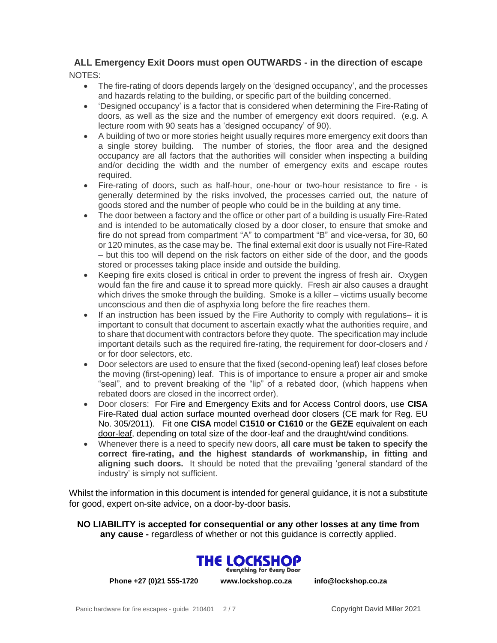### **ALL Emergency Exit Doors must open OUTWARDS - in the direction of escape** NOTES:

- The fire-rating of doors depends largely on the 'designed occupancy', and the processes and hazards relating to the building, or specific part of the building concerned.
- 'Designed occupancy' is a factor that is considered when determining the Fire-Rating of doors, as well as the size and the number of emergency exit doors required. (e.g. A lecture room with 90 seats has a 'designed occupancy' of 90).
- A building of two or more stories height usually requires more emergency exit doors than a single storey building. The number of stories, the floor area and the designed occupancy are all factors that the authorities will consider when inspecting a building and/or deciding the width and the number of emergency exits and escape routes required.
- Fire-rating of doors, such as half-hour, one-hour or two-hour resistance to fire is generally determined by the risks involved, the processes carried out, the nature of goods stored and the number of people who could be in the building at any time.
- The door between a factory and the office or other part of a building is usually Fire-Rated and is intended to be automatically closed by a door closer, to ensure that smoke and fire do not spread from compartment "A" to compartment "B" and vice-versa, for 30, 60 or 120 minutes, as the case may be. The final external exit door is usually not Fire-Rated – but this too will depend on the risk factors on either side of the door, and the goods stored or processes taking place inside and outside the building.
- Keeping fire exits closed is critical in order to prevent the ingress of fresh air. Oxygen would fan the fire and cause it to spread more quickly. Fresh air also causes a draught which drives the smoke through the building. Smoke is a killer – victims usually become unconscious and then die of asphyxia long before the fire reaches them.
- If an instruction has been issued by the Fire Authority to comply with regulations– it is important to consult that document to ascertain exactly what the authorities require, and to share that document with contractors before they quote. The specification may include important details such as the required fire-rating, the requirement for door-closers and / or for door selectors, etc.
- Door selectors are used to ensure that the fixed (second-opening leaf) leaf closes before the moving (first-opening) leaf. This is of importance to ensure a proper air and smoke "seal", and to prevent breaking of the "lip" of a rebated door, (which happens when rebated doors are closed in the incorrect order).
- Door closers: For Fire and Emergency Exits and for Access Control doors, use **CISA** Fire-Rated dual action surface mounted overhead door closers (CE mark for Reg. EU No. 305/2011). Fit one **CISA** model **C1510 or C1610** or the **GEZE** equivalent on each door-leaf, depending on total size of the door-leaf and the draught/wind conditions.
- Whenever there is a need to specify new doors, **all care must be taken to specify the correct fire-rating, and the highest standards of workmanship, in fitting and aligning such doors.** It should be noted that the prevailing 'general standard of the industry' is simply not sufficient.

Whilst the information in this document is intended for general guidance, it is not a substitute for good, expert on-site advice, on a door-by-door basis.

**NO LIABILITY is accepted for consequential or any other losses at any time from any cause -** regardless of whether or not this guidance is correctly applied.



**Phone +27 (0)21 555-1720 www.lockshop.co.za info@lockshop.co.za**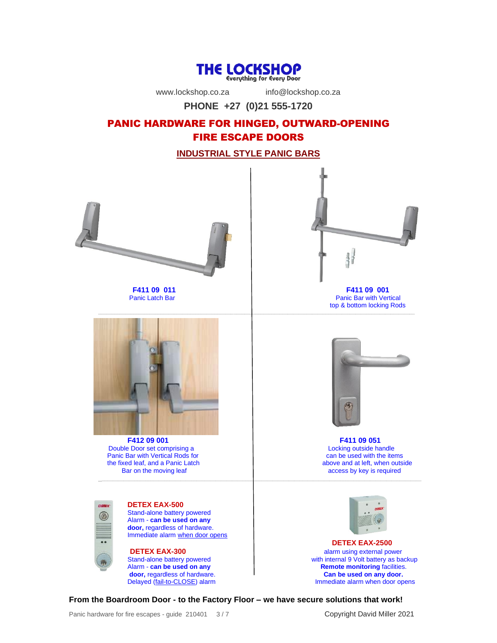

www.lockshop.co.za info@lockshop.co.za

**PHONE +27 (0)21 555-1720**

# PANIC HARDWARE FOR HINGED, OUTWARD-OPENING FIRE ESCAPE DOORS

**INDUSTRIAL STYLE PANIC BARS**





 **F411 09 011 F411 09 001** Panic Bar with Vertical top & bottom locking Rods



**F412 09 001**<br> **Example Door set comprising a**<br> **Example Door set comprising a**<br> **Example 2018** Double Door set comprising a Locking outside handle<br>
Panic Bar with Vertical Rods for **Locking** can be used with the items Panic Bar with Vertical Rods for can be used with the items<br>the fixed leaf, and a Panic Latch<br>above and at left, when outside the fixed leaf, and a Panic Latch<br>Bar on the moving leaf  $\_$  , and the set of the set of the set of the set of the set of the set of the set of the set of the set of the set of the set of the set of the set of the set of the set of the set of the set of the set of the set of th



**DETEX EAX-500** Stand-alone battery powered Alarm - **can be used on any door,** regardless of hardware. Immediate alarm when door opens



access by key is required



**DETEX EAX-2500 DETEX EAX-300 alarm using external power**<br> **Stand-alone battery powered alarm using external power**<br> **alarm using external power**<br> **alarm using external power** Stand-alone battery powered with internal 9 Volt battery as backup<br>Alarm - **can be used on any example 1 and 1 and 1 and 1 and 1 Remote monitoring** facilities. **Remote monitoring** facilities. **door,** regardless of hardware.<br>
Delayed (fail-to-CLOSE) alarm **Can be used on any door.**<br>
Immediate alarm when door op Immediate alarm when door opens

**From the Boardroom Door - to the Factory Floor – we have secure solutions that work!**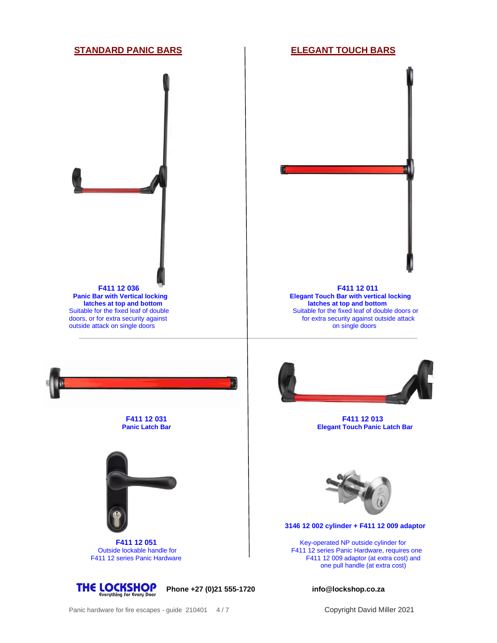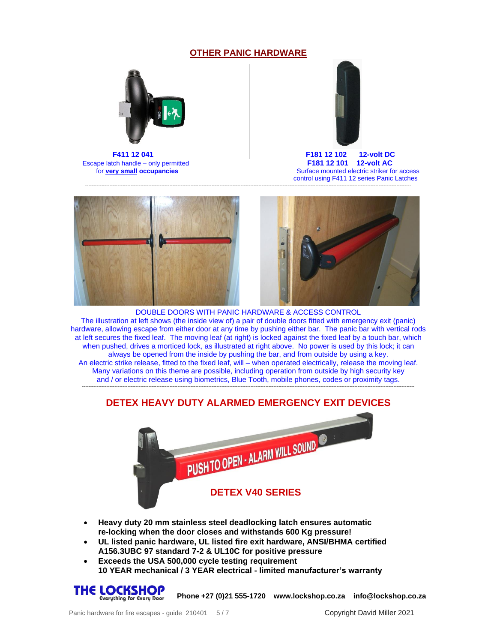#### **OTHER PANIC HARDWARE**



Escape latch handle – only permitted



 **F411 12 041 F181 12 102 12-volt DC For very small occupancies Surface mounted electric striker for access** control using F411 12 series Panic Latches



---------------------------------------------------------------------------------------------------------------------------------------------------------------------------------------------------------

DOUBLE DOORS WITH PANIC HARDWARE & ACCESS CONTROL The illustration at left shows (the inside view of) a pair of double doors fitted with emergency exit (panic) hardware, allowing escape from either door at any time by pushing either bar. The panic bar with vertical rods at left secures the fixed leaf. The moving leaf (at right) is locked against the fixed leaf by a touch bar, which when pushed, drives a morticed lock, as illustrated at right above. No power is used by this lock; it can always be opened from the inside by pushing the bar, and from outside by using a key. An electric strike release, fitted to the fixed leaf, will – when operated electrically, release the moving leaf. Many variations on this theme are possible, including operation from outside by high security key and / or electric release using biometrics, Blue Tooth, mobile phones, codes or proximity tags.

# **------------------------------------------------------------------------------------------------------------------------------------------------------------------------------------------------------------- DETEX HEAVY DUTY ALARMED EMERGENCY EXIT DEVICES**



- **Heavy duty 20 mm stainless steel deadlocking latch ensures automatic re-locking when the door closes and withstands 600 Kg pressure!**
- **UL listed panic hardware, UL listed fire exit hardware, ANSI/BHMA certified A156.3UBC 97 standard 7-2 & UL10C for positive pressure**
- **Exceeds the USA 500,000 cycle testing requirement 10 YEAR mechanical / 3 YEAR electrical - limited manufacturer's warranty**



**Phone +27 (0)21 555-1720 www.lockshop.co.za info@lockshop.co.za**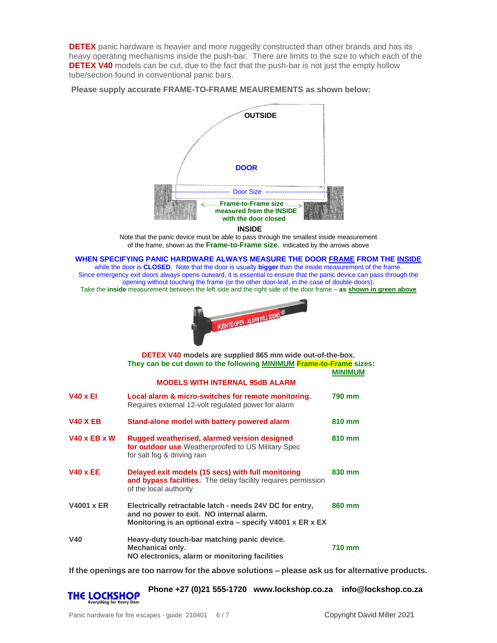**DETEX** panic hardware is heavier and more ruggedly constructed than other brands and has its heavy operating mechanisms inside the push-bar. There are limits to the size to which each of the **DETEX V40** models can be cut, due to the fact that the push-bar is not just the empty hollow tube/section found in conventional panic bars.

**Please supply accurate FRAME-TO-FRAME MEAUREMENTS as shown below:**



 **INSIDE**

Note that the panic device must be able to pass through the smallest inside measurement of the frame, shown as the **Frame-to-Frame size**, indicated by the arrows above

**WHEN SPECIFYING PANIC HARDWARE ALWAYS MEASURE THE DOOR FRAME FROM THE INSIDE** while the door is **CLOSED**. Note that the door is usually **bigger** than the inside measurement of the frame.

Since emergency exit doors always opens outward, it is essential to ensure that the panic device can pass through the opening without touching the frame (or the other door-leaf, in the case of double-doors). Take the **inside** measurement between the left side and the right side of the door frame – **as shown in green above**



|                                        | <b>DETEX V40</b> models are supplied 865 mm wide out-of-the-box.<br>They can be cut down to the following <b>MINIMUM Frame-to-Frame</b> sizes:                    | <b>MINIMUM</b> |
|----------------------------------------|-------------------------------------------------------------------------------------------------------------------------------------------------------------------|----------------|
| <b>MODELS WITH INTERNAL 95dB ALARM</b> |                                                                                                                                                                   |                |
| <b>V40 x EI</b>                        | Local alarm & micro-switches for remote monitoring.<br>Requires external 12-volt regulated power for alarm                                                        | 790 mm         |
| <b>V40 X EB</b>                        | Stand-alone model with battery powered alarm                                                                                                                      | 810 mm         |
| <b>V40 x EB x W</b>                    | Rugged weatherised, alarmed version designed<br>for outdoor use Weatherproofed to US Military Spec<br>for salt fog & driving rain                                 | 810 mm         |
| <b>V40 x EE</b>                        | Delayed exit models (15 secs) with full monitoring<br>and bypass facilities. The delay facility requires permission<br>of the local authority                     | 830 mm         |
| <b>V4001 x ER</b>                      | Electrically retractable latch - needs 24V DC for entry,<br>and no power to exit. NO internal alarm.<br>Monitoring is an optional extra – specify V4001 x ER x EX | 860 mm         |
| <b>V40</b>                             | Heavy-duty touch-bar matching panic device.<br><b>Mechanical only.</b><br>NO electronics, alarm or monitoring facilities                                          | 710 mm         |

**If the openings are too narrow for the above solutions – please ask us for alternative products.**

THE LOCKSHOP

**Phone +27 (0)21 555-1720 www.lockshop.co.za info@lockshop.co.za**